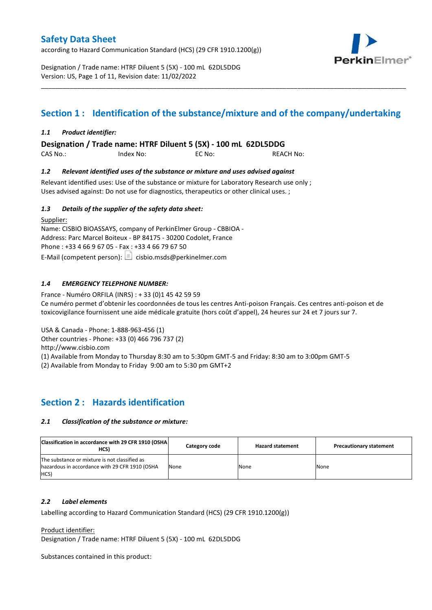according to Hazard Communication Standard (HCS) (29 CFR 1910.1200(g))



Designation / Trade name: HTRF Diluent 5 (5X) - 100 mL 62DL5DDG Version: US, Page 1 of 11, Revision date: 11/02/2022

# **Section 1 : Identification of the substance/mixture and of the company/undertaking**

\_\_\_\_\_\_\_\_\_\_\_\_\_\_\_\_\_\_\_\_\_\_\_\_\_\_\_\_\_\_\_\_\_\_\_\_\_\_\_\_\_\_\_\_\_\_\_\_\_\_\_\_\_\_\_\_\_\_\_\_\_\_\_\_\_\_\_\_\_\_\_\_\_\_\_\_\_\_\_\_\_\_\_\_\_\_\_\_\_\_\_\_\_\_\_\_\_\_\_\_\_

### *1.1 Product identifier:*

**Designation / Trade name: HTRF Diluent 5 (5X) - 100 mL 62DL5DDG** 

CAS No.: Index No: EC No: REACH No:

#### *1.2 Relevant identified uses of the substance or mixture and uses advised against*

Relevant identified uses: Use of the substance or mixture for Laboratory Research use only ; Uses advised against: Do not use for diagnostics, therapeutics or other clinical uses. ;

#### *1.3 Details of the supplier of the safety data sheet:*

Supplier: Name: CISBIO BIOASSAYS, company of PerkinElmer Group - CBBIOA - Address: Parc Marcel Boiteux - BP 84175 - 30200 Codolet, France Phone : +33 4 66 9 67 05 - Fax : +33 4 66 79 67 50 E-Mail (competent person):  $\boxed{\equiv}$  cisbio.msds@perkinelmer.com

### *1.4 EMERGENCY TELEPHONE NUMBER:*

France - Numéro ORFILA (INRS) : + 33 (0)1 45 42 59 59 Ce numéro permet d'obtenir les coordonnées de tous les centres Anti-poison Français. Ces centres anti-poison et de toxicovigilance fournissent une aide médicale gratuite (hors coût d'appel), 24 heures sur 24 et 7 jours sur 7.

USA & Canada - Phone: 1-888-963-456 (1)

Other countries - Phone: +33 (0) 466 796 737 (2)

http://www.cisbio.com

(1) Available from Monday to Thursday 8:30 am to 5:30pm GMT-5 and Friday: 8:30 am to 3:00pm GMT-5

(2) Available from Monday to Friday 9:00 am to 5:30 pm GMT+2

### **Section 2 : Hazards identification**

#### *2.1 Classification of the substance or mixture:*

| Classification in accordance with 29 CFR 1910 (OSHA)<br>HCS)                                            | Category code | <b>Hazard statement</b> | <b>Precautionary statement</b> |
|---------------------------------------------------------------------------------------------------------|---------------|-------------------------|--------------------------------|
| The substance or mixture is not classified as<br>hazardous in accordance with 29 CFR 1910 (OSHA<br>HCS) | None          | None                    | None                           |

#### *2.2 Label elements*

Labelling according to Hazard Communication Standard (HCS) (29 CFR 1910.1200(g))

Product identifier:

Designation / Trade name: HTRF Diluent 5 (5X) - 100 mL 62DL5DDG

Substances contained in this product: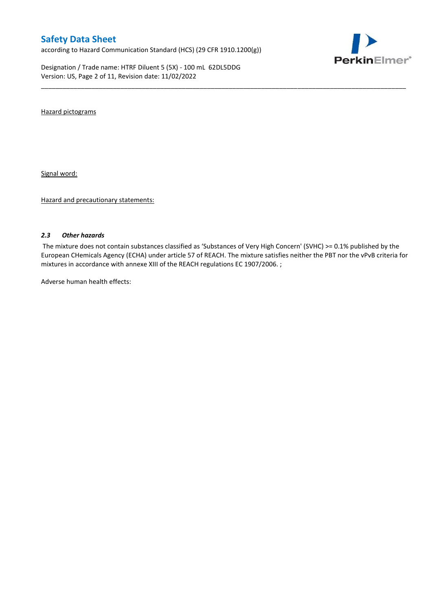according to Hazard Communication Standard (HCS) (29 CFR 1910.1200(g))

Designation / Trade name: HTRF Diluent 5 (5X) - 100 mL 62DL5DDG Version: US, Page 2 of 11, Revision date: 11/02/2022



Hazard pictograms

Signal word:

Hazard and precautionary statements:

#### *2.3 Other hazards*

The mixture does not contain substances classified as 'Substances of Very High Concern' (SVHC) >= 0.1% published by the European CHemicals Agency (ECHA) under article 57 of REACH. The mixture satisfies neither the PBT nor the vPvB criteria for mixtures in accordance with annexe XIII of the REACH regulations EC 1907/2006. ;

\_\_\_\_\_\_\_\_\_\_\_\_\_\_\_\_\_\_\_\_\_\_\_\_\_\_\_\_\_\_\_\_\_\_\_\_\_\_\_\_\_\_\_\_\_\_\_\_\_\_\_\_\_\_\_\_\_\_\_\_\_\_\_\_\_\_\_\_\_\_\_\_\_\_\_\_\_\_\_\_\_\_\_\_\_\_\_\_\_\_\_\_\_\_\_\_\_\_\_\_\_

Adverse human health effects: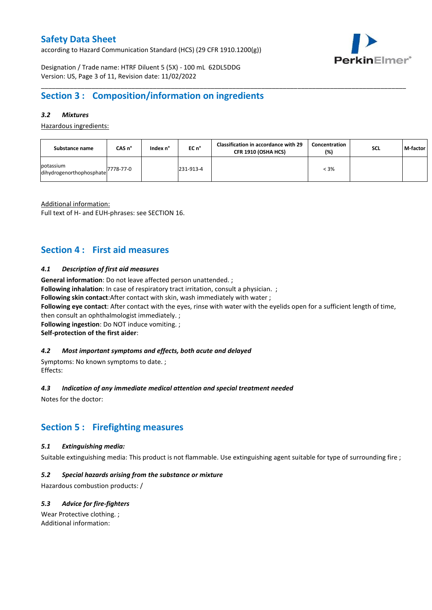according to Hazard Communication Standard (HCS) (29 CFR 1910.1200(g))



Designation / Trade name: HTRF Diluent 5 (5X) - 100 mL 62DL5DDG Version: US, Page 3 of 11, Revision date: 11/02/2022

# **Section 3 : Composition/information on ingredients**

### *3.2 Mixtures*

Hazardous ingredients:

| Substance name                        | CAS n°    | Index n° | EC n°     | <b>Classification in accordance with 29</b><br>CFR 1910 (OSHA HCS) | Concentration<br>(%) | <b>SCL</b> | M-factor |
|---------------------------------------|-----------|----------|-----------|--------------------------------------------------------------------|----------------------|------------|----------|
| potassium<br>dihydrogenorthophosphate | 7778-77-0 |          | 231-913-4 |                                                                    | $< 3\%$              |            |          |

\_\_\_\_\_\_\_\_\_\_\_\_\_\_\_\_\_\_\_\_\_\_\_\_\_\_\_\_\_\_\_\_\_\_\_\_\_\_\_\_\_\_\_\_\_\_\_\_\_\_\_\_\_\_\_\_\_\_\_\_\_\_\_\_\_\_\_\_\_\_\_\_\_\_\_\_\_\_\_\_\_\_\_\_\_\_\_\_\_\_\_\_\_\_\_\_\_\_\_\_\_

Additional information:

Full text of H- and EUH-phrases: see SECTION 16.

### **Section 4 : First aid measures**

#### *4.1 Description of first aid measures*

**General information**: Do not leave affected person unattended. ;

**Following inhalation**: In case of respiratory tract irritation, consult a physician. ;

**Following skin contact**:After contact with skin, wash immediately with water ;

**Following eye contact**: After contact with the eyes, rinse with water with the eyelids open for a sufficient length of time,

then consult an ophthalmologist immediately. ; **Following ingestion**: Do NOT induce vomiting. ;

**Self-protection of the first aider**:

### *4.2 Most important symptoms and effects, both acute and delayed*

Symptoms: No known symptoms to date. ; Effects:

### *4.3 Indication of any immediate medical attention and special treatment needed*

Notes for the doctor:

# **Section 5 : Firefighting measures**

#### *5.1 Extinguishing media:*

Suitable extinguishing media: This product is not flammable. Use extinguishing agent suitable for type of surrounding fire ;

#### *5.2 Special hazards arising from the substance or mixture*

Hazardous combustion products: /

### *5.3 Advice for fire-fighters*

Wear Protective clothing. ; Additional information: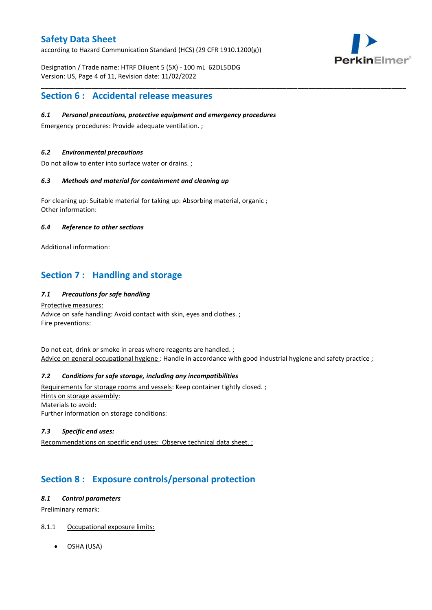according to Hazard Communication Standard (HCS) (29 CFR 1910.1200(g))



Designation / Trade name: HTRF Diluent 5 (5X) - 100 mL 62DL5DDG Version: US, Page 4 of 11, Revision date: 11/02/2022

### **Section 6 : Accidental release measures**

### *6.1 Personal precautions, protective equipment and emergency procedures*

Emergency procedures: Provide adequate ventilation. ;

### *6.2 Environmental precautions*

Do not allow to enter into surface water or drains. ;

#### *6.3 Methods and material for containment and cleaning up*

For cleaning up: Suitable material for taking up: Absorbing material, organic ; Other information:

#### *6.4 Reference to other sections*

Additional information:

# **Section 7 : Handling and storage**

### *7.1 Precautions for safe handling*

Protective measures: Advice on safe handling: Avoid contact with skin, eyes and clothes. ; Fire preventions:

Do not eat, drink or smoke in areas where reagents are handled. ; Advice on general occupational hygiene: Handle in accordance with good industrial hygiene and safety practice ;

\_\_\_\_\_\_\_\_\_\_\_\_\_\_\_\_\_\_\_\_\_\_\_\_\_\_\_\_\_\_\_\_\_\_\_\_\_\_\_\_\_\_\_\_\_\_\_\_\_\_\_\_\_\_\_\_\_\_\_\_\_\_\_\_\_\_\_\_\_\_\_\_\_\_\_\_\_\_\_\_\_\_\_\_\_\_\_\_\_\_\_\_\_\_\_\_\_\_\_\_\_

### *7.2 Conditions for safe storage, including any incompatibilities*

Requirements for storage rooms and vessels: Keep container tightly closed. ; Hints on storage assembly: Materials to avoid: Further information on storage conditions:

### *7.3 Specific end uses:*

Recommendations on specific end uses: Observe technical data sheet. ;

# **Section 8 : Exposure controls/personal protection**

#### *8.1 Control parameters*

Preliminary remark:

### 8.1.1 Occupational exposure limits:

OSHA (USA)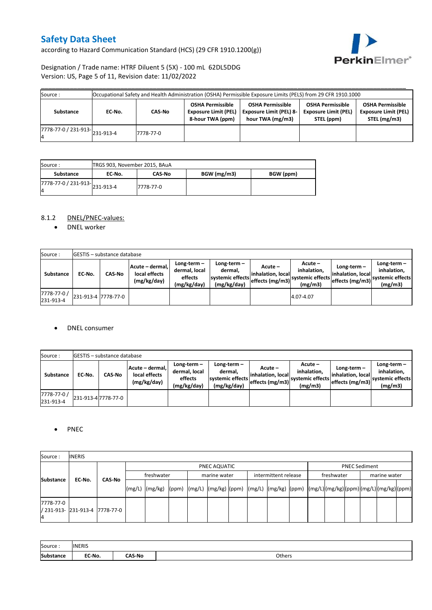according to Hazard Communication Standard (HCS) (29 CFR 1910.1200(g))



Designation / Trade name: HTRF Diluent 5 (5X) - 100 mL 62DL5DDG Version: US, Page 5 of 11, Revision date: 11/02/2022

| Source:                                               |        |           |                                                                            | Occupational Safety and Health Administration (OSHA) Permissible Exposure Limits (PELS) from 29 CFR 1910.1000 |                                                                      |                                                                        |
|-------------------------------------------------------|--------|-----------|----------------------------------------------------------------------------|---------------------------------------------------------------------------------------------------------------|----------------------------------------------------------------------|------------------------------------------------------------------------|
| Substance                                             | EC-No. | CAS-No    | <b>OSHA Permissible</b><br><b>Exposure Limit (PEL)</b><br>8-hour TWA (ppm) | <b>OSHA Permissible</b><br><b>Exposure Limit (PEL) 8-</b><br>hour TWA (mg/m3)                                 | <b>OSHA Permissible</b><br><b>Exposure Limit (PEL)</b><br>STEL (ppm) | <b>OSHA Permissible</b><br><b>Exposure Limit (PEL)</b><br>STEL (mg/m3) |
| $\frac{1}{17778-77-0}$ / 231-913- $\big _{231-913-4}$ |        | 7778-77-0 |                                                                            |                                                                                                               |                                                                      |                                                                        |

| Source :                            | TRGS 903, November 2015, BAuA |               |             |           |
|-------------------------------------|-------------------------------|---------------|-------------|-----------|
| Substance                           | EC No.                        | <b>CAS-No</b> | BGW (mg/m3) | BGW (ppm) |
| 7778-77-0 / 231-913-231-913-4<br>14 |                               | 7778-77-0     |             |           |

### 8.1.2 DNEL/PNEC-values:

• DNEL worker

| Source:                  |                     | <b>GESTIS</b> - substance database |                                                 |                                                       |                                                          |                                                  |                                                       |                                                           |                                                             |
|--------------------------|---------------------|------------------------------------|-------------------------------------------------|-------------------------------------------------------|----------------------------------------------------------|--------------------------------------------------|-------------------------------------------------------|-----------------------------------------------------------|-------------------------------------------------------------|
| Substance                | EC No.              | <b>CAS-No</b>                      | Acute - dermal,<br>local effects<br>(mg/kg/day) | Long-term-<br>dermal, local<br>effects<br>(mg/kg/day) | Long-term-<br>dermal.<br>systemic effects<br>(mg/kg/day) | Acute –<br>linhalation. local<br>effects (mg/m3) | Acute –<br>inhalation.<br>systemic effects<br>(mg/m3) | Long-term $-$<br>linhalation. locall<br>effects (mg/m3) ` | Long-term $-$<br>inhalation,<br>systemic effects<br>(mg/m3) |
| 7778-77-0 /<br>231-913-4 | 231-913-4 7778-77-0 |                                    |                                                 |                                                       |                                                          |                                                  | 4.07-4.07                                             |                                                           |                                                             |

#### DNEL consumer

| Source:                  |        | <b>GESTIS</b> - substance database |                                                 |                                                          |                                                             |                                                  |                                                       |                                                     |                                                          |
|--------------------------|--------|------------------------------------|-------------------------------------------------|----------------------------------------------------------|-------------------------------------------------------------|--------------------------------------------------|-------------------------------------------------------|-----------------------------------------------------|----------------------------------------------------------|
| <b>Substance</b>         | EC No. | <b>CAS-No</b>                      | Acute - dermal.<br>local effects<br>(mg/kg/day) | Long-term $-$<br>dermal, local<br>effects<br>(mg/kg/day) | Long-term $-$<br>dermal,<br>systemic effects<br>(mg/kg/day) | Acute –<br>linhalation. local<br>effects (mg/m3) | Acute -<br>inhalation.<br>systemic effects<br>(mg/m3) | Long-term-<br>linhalation. local<br>effects (mg/m3) | Long-term-<br>inhalation.<br>systemic effects<br>(mg/m3) |
| 7778-77-0 /<br>231-913-4 |        | 231-913-4 7778-77-0                |                                                 |                                                          |                                                             |                                                  |                                                       |                                                     |                                                          |

### • PNEC

| Source:          | <b>INERIS</b>                  |               |            |                                                                                                                    |  |  |              |  |                                    |  |  |                      |  |  |  |  |  |
|------------------|--------------------------------|---------------|------------|--------------------------------------------------------------------------------------------------------------------|--|--|--------------|--|------------------------------------|--|--|----------------------|--|--|--|--|--|
|                  |                                |               |            | PNEC AQUATIC                                                                                                       |  |  |              |  |                                    |  |  | <b>PNEC Sediment</b> |  |  |  |  |  |
| <b>Substance</b> | EC-No.                         | <b>CAS-No</b> | freshwater |                                                                                                                    |  |  | marine water |  | freshwater<br>intermittent release |  |  | marine water         |  |  |  |  |  |
|                  |                                |               |            | [(mg/L)  (mg/kg)  (ppm)  (mg/L)  (mg/kg)  (ppm)  (mg/L)  (mg/kg)  (ppm)  (mg/L) (mg/kg) (ppm) (mg/L) (mg/kg) (ppm) |  |  |              |  |                                    |  |  |                      |  |  |  |  |  |
| 7778-77-0        | / 231-913- 231-913-4 7778-77-0 |               |            |                                                                                                                    |  |  |              |  |                                    |  |  |                      |  |  |  |  |  |

| Source:          | <b>INERIS</b> |               |        |
|------------------|---------------|---------------|--------|
| <b>Substance</b> | EC-No.        | <b>∩AS-No</b> | Others |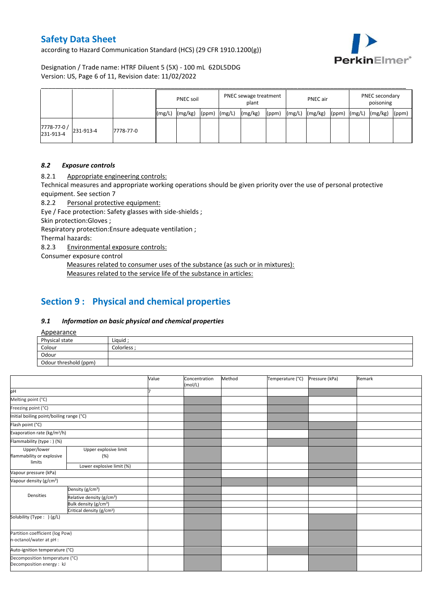according to Hazard Communication Standard (HCS) (29 CFR 1910.1200(g))



Designation / Trade name: HTRF Diluent 5 (5X) - 100 mL 62DL5DDG Version: US, Page 6 of 11, Revision date: 11/02/2022

|                          |           |           |        | <b>PNEC soil</b> |                  | PNEC sewage treatment<br>plant |       |        | <b>PNEC</b> air |       | PNEC secondary<br>poisoning |  |       |
|--------------------------|-----------|-----------|--------|------------------|------------------|--------------------------------|-------|--------|-----------------|-------|-----------------------------|--|-------|
|                          |           |           | (mg/L) | (mg/kg)          | $(ppm)$ $(mg/L)$ | (mg/kg)                        | (ppm) | (mg/L) | (mg/kg)         | (ppm) | $(mg/L)$ $(mg/kg)$          |  | (ppm) |
| 7778-77-0 /<br>231-913-4 | 231-913-4 | 7778-77-0 |        |                  |                  |                                |       |        |                 |       |                             |  |       |

#### *8.2 Exposure controls*

8.2.1 Appropriate engineering controls:

Technical measures and appropriate working operations should be given priority over the use of personal protective equipment. See section 7

8.2.2 Personal protective equipment:

Eye / Face protection: Safety glasses with side-shields ;

Skin protection:Gloves ;

Respiratory protection:Ensure adequate ventilation ;

Thermal hazards:

8.2.3 Environmental exposure controls:

Consumer exposure control

Measures related to consumer uses of the substance (as such or in mixtures): Measures related to the service life of the substance in articles:

# **Section 9 : Physical and chemical properties**

#### *9.1 Information on basic physical and chemical properties*

Appearance

| $-$                   |             |
|-----------------------|-------------|
| Physical state        | Liquid      |
| Colour                | Colorless : |
| Odour                 |             |
| Odour threshold (ppm) |             |

|                                                             |                                       | Value | Concentration<br>(mol/L) | Method | Temperature (°C) | Pressure (kPa) | Remark |
|-------------------------------------------------------------|---------------------------------------|-------|--------------------------|--------|------------------|----------------|--------|
| pH                                                          |                                       |       |                          |        |                  |                |        |
| Melting point (°C)                                          |                                       |       |                          |        |                  |                |        |
| Freezing point (°C)                                         |                                       |       |                          |        |                  |                |        |
| Initial boiling point/boiling range (°C)                    |                                       |       |                          |        |                  |                |        |
| Flash point (°C)                                            |                                       |       |                          |        |                  |                |        |
| Evaporation rate (kg/m <sup>2</sup> /h)                     |                                       |       |                          |        |                  |                |        |
| Flammability (type:) (%)                                    |                                       |       |                          |        |                  |                |        |
| Upper/lower<br>flammability or explosive<br>limits          | Upper explosive limit<br>(%)          |       |                          |        |                  |                |        |
|                                                             | Lower explosive limit (%)             |       |                          |        |                  |                |        |
| Vapour pressure (kPa)                                       |                                       |       |                          |        |                  |                |        |
| Vapour density (g/cm <sup>3</sup> )                         |                                       |       |                          |        |                  |                |        |
|                                                             | Density (g/cm <sup>3</sup> )          |       |                          |        |                  |                |        |
| Densities                                                   | Relative density (g/cm <sup>3</sup> ) |       |                          |        |                  |                |        |
|                                                             | Bulk density (g/cm <sup>3</sup> )     |       |                          |        |                  |                |        |
|                                                             | Critical density (g/cm <sup>3</sup> ) |       |                          |        |                  |                |        |
| Solubility (Type: ) (g/L)                                   |                                       |       |                          |        |                  |                |        |
| Partition coefficient (log Pow)                             |                                       |       |                          |        |                  |                |        |
| n-octanol/water at pH :                                     |                                       |       |                          |        |                  |                |        |
|                                                             | Auto-ignition temperature (°C)        |       |                          |        |                  |                |        |
| Decomposition temperature (°C)<br>Decomposition energy : kJ |                                       |       |                          |        |                  |                |        |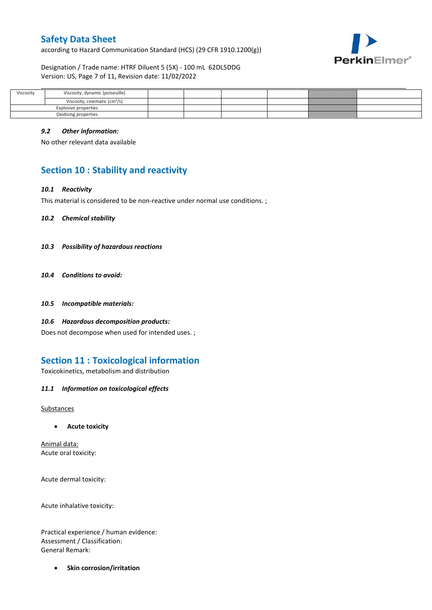according to Hazard Communication Standard (HCS) (29 CFR 1910.1200(g))



Designation / Trade name: HTRF Diluent 5 (5X) - 100 mL 62DL5DDG Version: US, Page 7 of 11, Revision date: 11/02/2022

| Viscosity | Viscosity, dynamic (poiseuille)           |  |  |  |
|-----------|-------------------------------------------|--|--|--|
|           | Viscosity, cinematic (cm <sup>3</sup> /s) |  |  |  |
|           | Explosive properties                      |  |  |  |
|           | Oxidising properties                      |  |  |  |

#### *9.2 Other information:*

No other relevant data available

# **Section 10 : Stability and reactivity**

#### *10.1 Reactivity*

This material is considered to be non-reactive under normal use conditions. ;

*10.2 Chemical stability*

- *10.3 Possibility of hazardous reactions*
- *10.4 Conditions to avoid:*
- *10.5 Incompatible materials:*
- *10.6 Hazardous decomposition products:*

Does not decompose when used for intended uses. ;

# **Section 11 : Toxicological information**

Toxicokinetics, metabolism and distribution

*11.1 Information on toxicological effects*

Substances

**Acute toxicity**

Animal data: Acute oral toxicity:

Acute dermal toxicity:

Acute inhalative toxicity:

Practical experience / human evidence: Assessment / Classification: General Remark:

**•** Skin corrosion/irritation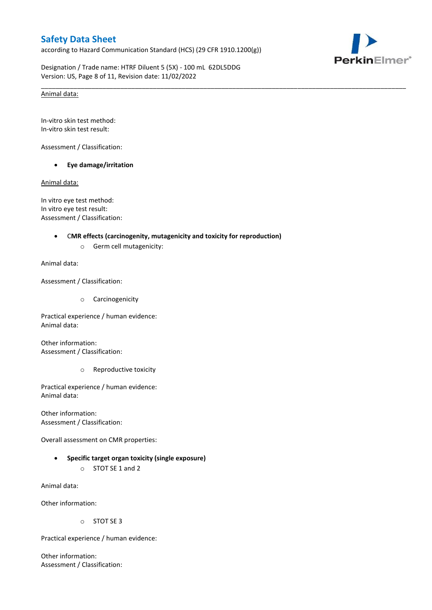according to Hazard Communication Standard (HCS) (29 CFR 1910.1200(g))

\_\_\_\_\_\_\_\_\_\_\_\_\_\_\_\_\_\_\_\_\_\_\_\_\_\_\_\_\_\_\_\_\_\_\_\_\_\_\_\_\_\_\_\_\_\_\_\_\_\_\_\_\_\_\_\_\_\_\_\_\_\_\_\_\_\_\_\_\_\_\_\_\_\_\_\_\_\_\_\_\_\_\_\_\_\_\_\_\_\_\_\_\_\_\_\_\_\_\_\_\_



Designation / Trade name: HTRF Diluent 5 (5X) - 100 mL 62DL5DDG Version: US, Page 8 of 11, Revision date: 11/02/2022

#### Animal data:

In-vitro skin test method: In-vitro skin test result:

Assessment / Classification:

**Eye damage/irritation**

Animal data:

In vitro eye test method: In vitro eye test result: Assessment / Classification:

#### C**MR effects (carcinogenity, mutagenicity and toxicity for reproduction)**

o Germ cell mutagenicity:

Animal data:

Assessment / Classification:

o Carcinogenicity

Practical experience / human evidence: Animal data:

Other information: Assessment / Classification:

o Reproductive toxicity

Practical experience / human evidence: Animal data:

Other information: Assessment / Classification:

Overall assessment on CMR properties:

 **Specific target organ toxicity (single exposure)** o STOT SE 1 and 2

Animal data:

Other information:

o STOT SE 3

Practical experience / human evidence:

Other information: Assessment / Classification: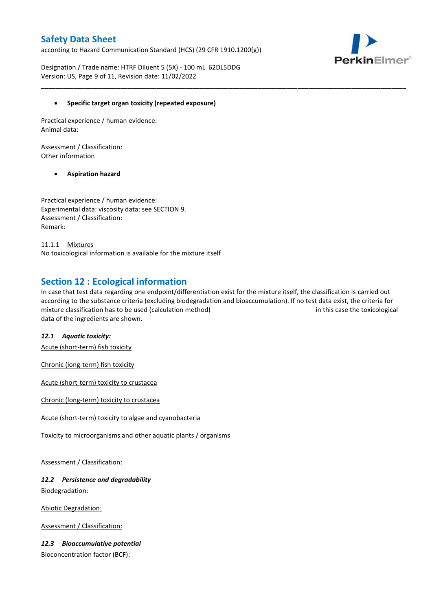according to Hazard Communication Standard (HCS) (29 CFR 1910.1200(g))



Designation / Trade name: HTRF Diluent 5 (5X) - 100 mL 62DL5DDG Version: US, Page 9 of 11, Revision date: 11/02/2022

### **Specific target organ toxicity (repeated exposure)**

Practical experience / human evidence: Animal data:

Assessment / Classification: Other information

### **Aspiration hazard**

Practical experience / human evidence: Experimental data: viscosity data: see SECTION 9. Assessment / Classification: Remark:

11.1.1 Mixtures No toxicological information is available for the mixture itself

### **Section 12 : Ecological information**

In case that test data regarding one endpoint/differentiation exist for the mixture itself, the classification is carried out according to the substance criteria (excluding biodegradation and bioaccumulation). If no test data exist, the criteria for mixture classification has to be used (calculation method) in this case the toxicological data of the ingredients are shown.

\_\_\_\_\_\_\_\_\_\_\_\_\_\_\_\_\_\_\_\_\_\_\_\_\_\_\_\_\_\_\_\_\_\_\_\_\_\_\_\_\_\_\_\_\_\_\_\_\_\_\_\_\_\_\_\_\_\_\_\_\_\_\_\_\_\_\_\_\_\_\_\_\_\_\_\_\_\_\_\_\_\_\_\_\_\_\_\_\_\_\_\_\_\_\_\_\_\_\_\_\_

### *12.1 Aquatic toxicity:*

Acute (short-term) fish toxicity

Chronic (long-term) fish toxicity

Acute (short-term) toxicity to crustacea

Chronic (long-term) toxicity to crustacea

Acute (short-term) toxicity to algae and cyanobacteria

Toxicity to microorganisms and other aquatic plants / organisms

Assessment / Classification:

### *12.2 Persistence and degradability* Biodegradation:

Abiotic Degradation:

Assessment / Classification:

### *12.3 Bioaccumulative potential*

Bioconcentration factor (BCF):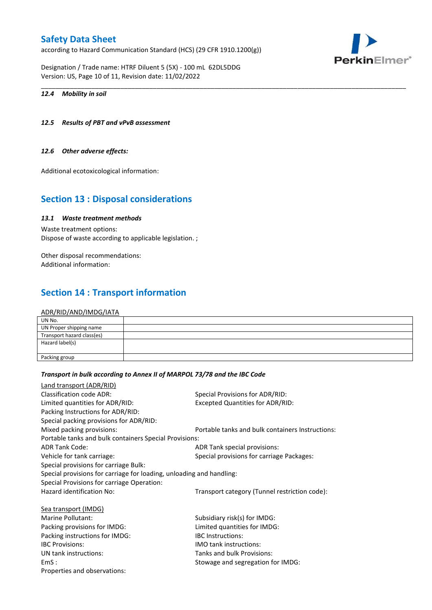according to Hazard Communication Standard (HCS) (29 CFR 1910.1200(g))

Designation / Trade name: HTRF Diluent 5 (5X) - 100 mL 62DL5DDG Version: US, Page 10 of 11, Revision date: 11/02/2022

#### *12.4 Mobility in soil*

#### *12.5 Results of PBT and vPvB assessment*

#### *12.6 Other adverse effects:*

Additional ecotoxicological information:

# **Section 13 : Disposal considerations**

### *13.1 Waste treatment methods*

Waste treatment options: Dispose of waste according to applicable legislation. ;

Other disposal recommendations: Additional information:

# **Section 14 : Transport information**

#### ADR/RID/AND/IMDG/IATA

| UN No.                     |  |
|----------------------------|--|
| UN Proper shipping name    |  |
| Transport hazard class(es) |  |
| Hazard label(s)            |  |
|                            |  |
| Packing group              |  |

\_\_\_\_\_\_\_\_\_\_\_\_\_\_\_\_\_\_\_\_\_\_\_\_\_\_\_\_\_\_\_\_\_\_\_\_\_\_\_\_\_\_\_\_\_\_\_\_\_\_\_\_\_\_\_\_\_\_\_\_\_\_\_\_\_\_\_\_\_\_\_\_\_\_\_\_\_\_\_\_\_\_\_\_\_\_\_\_\_\_\_\_\_\_\_\_\_\_\_\_\_

#### *Transport in bulk according to Annex II of MARPOL 73/78 and the IBC Code*

| Special Provisions for ADR/RID:                                      |
|----------------------------------------------------------------------|
| <b>Excepted Quantities for ADR/RID:</b>                              |
|                                                                      |
|                                                                      |
| Portable tanks and bulk containers Instructions:                     |
| Portable tanks and bulk containers Special Provisions:               |
| ADR Tank special provisions:                                         |
| Special provisions for carriage Packages:                            |
|                                                                      |
| Special provisions for carriage for loading, unloading and handling: |
|                                                                      |
| Transport category (Tunnel restriction code):                        |
|                                                                      |
| Subsidiary risk(s) for IMDG:                                         |
| Limited quantities for IMDG:                                         |
| <b>IBC</b> Instructions:                                             |
| <b>IMO tank instructions:</b>                                        |
| Tanks and bulk Provisions:                                           |
| Stowage and segregation for IMDG:                                    |
|                                                                      |
|                                                                      |